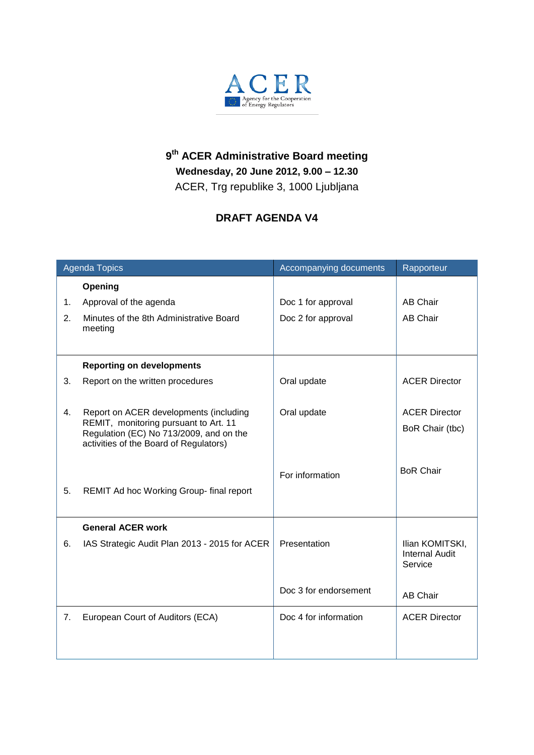

## **9 th ACER Administrative Board meeting Wednesday, 20 June 2012, 9.00 – 12.30** ACER, Trg republike 3, 1000 Ljubljana

## **DRAFT AGENDA V4**

|                                                                                   | Accompanying documents                                                                                    | Rapporteur                                          |
|-----------------------------------------------------------------------------------|-----------------------------------------------------------------------------------------------------------|-----------------------------------------------------|
| Opening                                                                           |                                                                                                           |                                                     |
| Approval of the agenda                                                            | Doc 1 for approval                                                                                        | <b>AB Chair</b>                                     |
| Minutes of the 8th Administrative Board<br>meeting                                | Doc 2 for approval                                                                                        | <b>AB Chair</b>                                     |
|                                                                                   |                                                                                                           |                                                     |
| <b>Reporting on developments</b>                                                  |                                                                                                           |                                                     |
| Report on the written procedures                                                  | Oral update                                                                                               | <b>ACER Director</b>                                |
|                                                                                   |                                                                                                           |                                                     |
| Report on ACER developments (including                                            | Oral update                                                                                               | <b>ACER Director</b>                                |
| Regulation (EC) No 713/2009, and on the<br>activities of the Board of Regulators) |                                                                                                           | BoR Chair (tbc)                                     |
|                                                                                   |                                                                                                           | <b>BoR Chair</b>                                    |
|                                                                                   |                                                                                                           |                                                     |
|                                                                                   |                                                                                                           |                                                     |
|                                                                                   |                                                                                                           |                                                     |
| <b>General ACER work</b>                                                          |                                                                                                           |                                                     |
| IAS Strategic Audit Plan 2013 - 2015 for ACER                                     | Presentation                                                                                              | Ilian KOMITSKI,<br><b>Internal Audit</b><br>Service |
|                                                                                   |                                                                                                           |                                                     |
|                                                                                   |                                                                                                           | <b>AB Chair</b>                                     |
| European Court of Auditors (ECA)                                                  | Doc 4 for information                                                                                     | <b>ACER Director</b>                                |
|                                                                                   |                                                                                                           |                                                     |
|                                                                                   |                                                                                                           |                                                     |
|                                                                                   | <b>Agenda Topics</b><br>REMIT, monitoring pursuant to Art. 11<br>REMIT Ad hoc Working Group- final report | For information<br>Doc 3 for endorsement            |